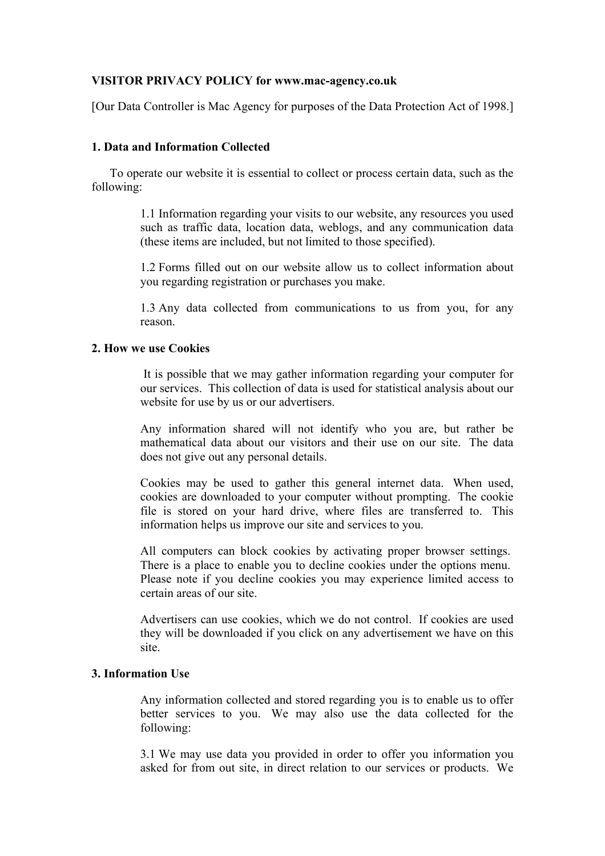# **VISITOR PRIVACY POLICY for www.mac-agency.co.uk**

[Our Data Controller is Mac Agency for purposes of the Data Protection Act of 1998.]

#### **1. Data and Information Collected**

 To operate our website it is essential to collect or process certain data, such as the following:

> 1.1 Information regarding your visits to our website, any resources you used such as traffic data, location data, weblogs, and any communication data (these items are included, but not limited to those specified).

> 1.2 Forms filled out on our website allow us to collect information about you regarding registration or purchases you make.

> 1.3 Any data collected from communications to us from you, for any reason.

#### **2. How we use Cookies**

It is possible that we may gather information regarding your computer for our services. This collection of data is used for statistical analysis about our website for use by us or our advertisers.

Any information shared will not identify who you are, but rather be mathematical data about our visitors and their use on our site. The data does not give out any personal details.

Cookies may be used to gather this general internet data. When used, cookies are downloaded to your computer without prompting. The cookie file is stored on your hard drive, where files are transferred to. This information helps us improve our site and services to you.

All computers can block cookies by activating proper browser settings. There is a place to enable you to decline cookies under the options menu. Please note if you decline cookies you may experience limited access to certain areas of our site.

Advertisers can use cookies, which we do not control. If cookies are used they will be downloaded if you click on any advertisement we have on this site.

#### **3. Information Use**

Any information collected and stored regarding you is to enable us to offer better services to you. We may also use the data collected for the following:

3.1 We may use data you provided in order to offer you information you asked for from out site, in direct relation to our services or products. We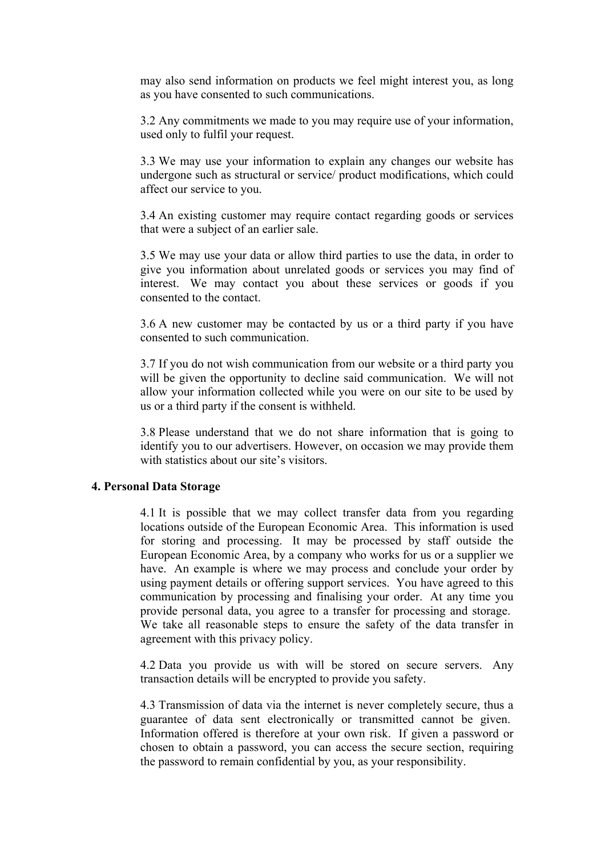may also send information on products we feel might interest you, as long as you have consented to such communications.

3.2 Any commitments we made to you may require use of your information, used only to fulfil your request.

3.3 We may use your information to explain any changes our website has undergone such as structural or service/ product modifications, which could affect our service to you.

3.4 An existing customer may require contact regarding goods or services that were a subject of an earlier sale.

3.5 We may use your data or allow third parties to use the data, in order to give you information about unrelated goods or services you may find of interest. We may contact you about these services or goods if you consented to the contact.

3.6 A new customer may be contacted by us or a third party if you have consented to such communication.

3.7 If you do not wish communication from our website or a third party you will be given the opportunity to decline said communication. We will not allow your information collected while you were on our site to be used by us or a third party if the consent is withheld.

3.8 Please understand that we do not share information that is going to identify you to our advertisers. However, on occasion we may provide them with statistics about our site's visitors.

# **4. Personal Data Storage**

4.1 It is possible that we may collect transfer data from you regarding locations outside of the European Economic Area. This information is used for storing and processing. It may be processed by staff outside the European Economic Area, by a company who works for us or a supplier we have. An example is where we may process and conclude your order by using payment details or offering support services. You have agreed to this communication by processing and finalising your order. At any time you provide personal data, you agree to a transfer for processing and storage. We take all reasonable steps to ensure the safety of the data transfer in agreement with this privacy policy.

4.2 Data you provide us with will be stored on secure servers. Any transaction details will be encrypted to provide you safety.

4.3 Transmission of data via the internet is never completely secure, thus a guarantee of data sent electronically or transmitted cannot be given. Information offered is therefore at your own risk. If given a password or chosen to obtain a password, you can access the secure section, requiring the password to remain confidential by you, as your responsibility.